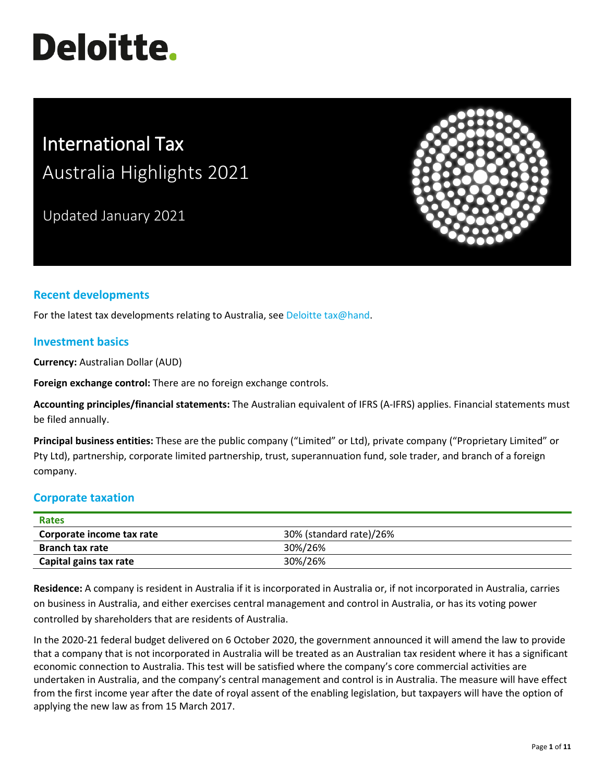# **Deloitte.**

# International Tax Australia Highlights 2021

Updated January 2021



# **Recent developments**

For the latest tax developments relating to Australia, see [Deloitte tax@hand.](https://www.taxathand.com/world-news/Australia)

#### **Investment basics**

**Currency:** Australian Dollar (AUD)

**Foreign exchange control:** There are no foreign exchange controls.

**Accounting principles/financial statements:** The Australian equivalent of IFRS (A-IFRS) applies. Financial statements must be filed annually.

**Principal business entities:** These are the public company ("Limited" or Ltd), private company ("Proprietary Limited" or Pty Ltd), partnership, corporate limited partnership, trust, superannuation fund, sole trader, and branch of a foreign company.

#### **Corporate taxation**

| <b>Rates</b>                                         |         |
|------------------------------------------------------|---------|
| 30% (standard rate)/26%<br>Corporate income tax rate |         |
| <b>Branch tax rate</b>                               | 30%/26% |
| Capital gains tax rate                               | 30%/26% |

**Residence:** A company is resident in Australia if it is incorporated in Australia or, if not incorporated in Australia, carries on business in Australia, and either exercises central management and control in Australia, or has its voting power controlled by shareholders that are residents of Australia.

In the 2020-21 federal budget delivered on 6 October 2020, the government announced it will amend the law to provide that a company that is not incorporated in Australia will be treated as an Australian tax resident where it has a significant economic connection to Australia. This test will be satisfied where the company's core commercial activities are undertaken in Australia, and the company's central management and control is in Australia. The measure will have effect from the first income year after the date of royal assent of the enabling legislation, but taxpayers will have the option of applying the new law as from 15 March 2017.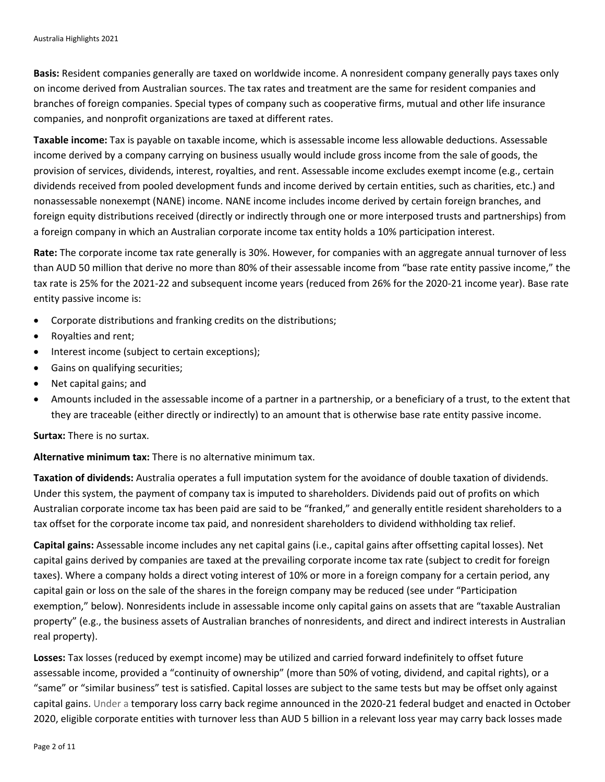**Basis:** Resident companies generally are taxed on worldwide income. A nonresident company generally pays taxes only on income derived from Australian sources. The tax rates and treatment are the same for resident companies and branches of foreign companies. Special types of company such as cooperative firms, mutual and other life insurance companies, and nonprofit organizations are taxed at different rates.

**Taxable income:** Tax is payable on taxable income, which is assessable income less allowable deductions. Assessable income derived by a company carrying on business usually would include gross income from the sale of goods, the provision of services, dividends, interest, royalties, and rent. Assessable income excludes exempt income (e.g., certain dividends received from pooled development funds and income derived by certain entities, such as charities, etc.) and nonassessable nonexempt (NANE) income. NANE income includes income derived by certain foreign branches, and foreign equity distributions received (directly or indirectly through one or more interposed trusts and partnerships) from a foreign company in which an Australian corporate income tax entity holds a 10% participation interest.

**Rate:** The corporate income tax rate generally is 30%. However, for companies with an aggregate annual turnover of less than AUD 50 million that derive no more than 80% of their assessable income from "base rate entity passive income," the tax rate is 25% for the 2021-22 and subsequent income years (reduced from 26% for the 2020-21 income year). Base rate entity passive income is:

- Corporate distributions and franking credits on the distributions;
- Royalties and rent;
- Interest income (subject to certain exceptions);
- Gains on qualifying securities;
- Net capital gains; and
- Amounts included in the assessable income of a partner in a partnership, or a beneficiary of a trust, to the extent that they are traceable (either directly or indirectly) to an amount that is otherwise base rate entity passive income.

**Surtax:** There is no surtax.

**Alternative minimum tax:** There is no alternative minimum tax.

**Taxation of dividends:** Australia operates a full imputation system for the avoidance of double taxation of dividends. Under this system, the payment of company tax is imputed to shareholders. Dividends paid out of profits on which Australian corporate income tax has been paid are said to be "franked," and generally entitle resident shareholders to a tax offset for the corporate income tax paid, and nonresident shareholders to dividend withholding tax relief.

**Capital gains:** Assessable income includes any net capital gains (i.e., capital gains after offsetting capital losses). Net capital gains derived by companies are taxed at the prevailing corporate income tax rate (subject to credit for foreign taxes). Where a company holds a direct voting interest of 10% or more in a foreign company for a certain period, any capital gain or loss on the sale of the shares in the foreign company may be reduced (see under "Participation exemption," below). Nonresidents include in assessable income only capital gains on assets that are "taxable Australian property" (e.g., the business assets of Australian branches of nonresidents, and direct and indirect interests in Australian real property).

**Losses:** Tax losses (reduced by exempt income) may be utilized and carried forward indefinitely to offset future assessable income, provided a "continuity of ownership" (more than 50% of voting, dividend, and capital rights), or a "same" or "similar business" test is satisfied. Capital losses are subject to the same tests but may be offset only against capital gains. Under a temporary loss carry back regime announced in the 2020-21 federal budget and enacted in October 2020, eligible corporate entities with turnover less than AUD 5 billion in a relevant loss year may carry back losses made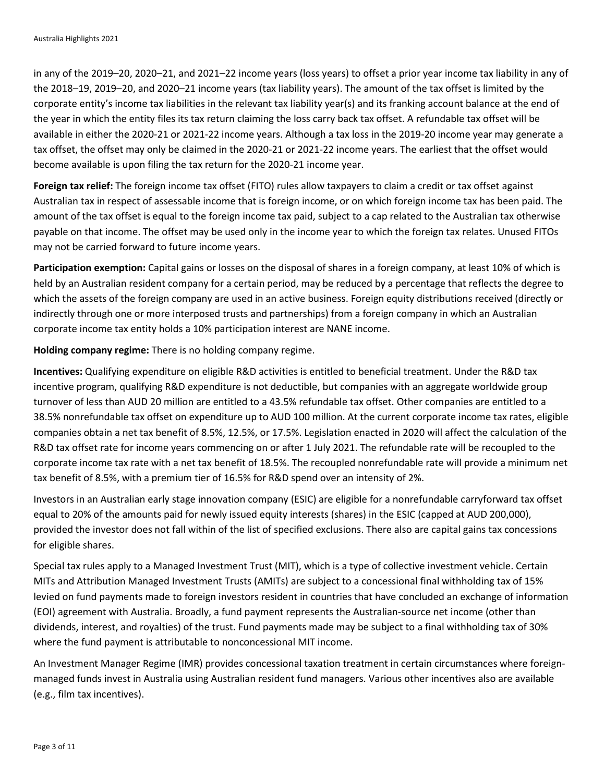in any of the 2019–20, 2020–21, and 2021–22 income years (loss years) to offset a prior year income tax liability in any of the 2018–19, 2019–20, and 2020–21 income years (tax liability years). The amount of the tax offset is limited by the corporate entity's income tax liabilities in the relevant tax liability year(s) and its franking account balance at the end of the year in which the entity files its tax return claiming the loss carry back tax offset. A refundable tax offset will be available in either the 2020-21 or 2021-22 income years. Although a tax loss in the 2019-20 income year may generate a tax offset, the offset may only be claimed in the 2020-21 or 2021-22 income years. The earliest that the offset would become available is upon filing the tax return for the 2020-21 income year.

**Foreign tax relief:** The foreign income tax offset (FITO) rules allow taxpayers to claim a credit or tax offset against Australian tax in respect of assessable income that is foreign income, or on which foreign income tax has been paid. The amount of the tax offset is equal to the foreign income tax paid, subject to a cap related to the Australian tax otherwise payable on that income. The offset may be used only in the income year to which the foreign tax relates. Unused FITOs may not be carried forward to future income years.

**Participation exemption:** Capital gains or losses on the disposal of shares in a foreign company, at least 10% of which is held by an Australian resident company for a certain period, may be reduced by a percentage that reflects the degree to which the assets of the foreign company are used in an active business. Foreign equity distributions received (directly or indirectly through one or more interposed trusts and partnerships) from a foreign company in which an Australian corporate income tax entity holds a 10% participation interest are NANE income.

**Holding company regime:** There is no holding company regime.

**Incentives:** Qualifying expenditure on eligible R&D activities is entitled to beneficial treatment. Under the R&D tax incentive program, qualifying R&D expenditure is not deductible, but companies with an aggregate worldwide group turnover of less than AUD 20 million are entitled to a 43.5% refundable tax offset. Other companies are entitled to a 38.5% nonrefundable tax offset on expenditure up to AUD 100 million. At the current corporate income tax rates, eligible companies obtain a net tax benefit of 8.5%, 12.5%, or 17.5%. Legislation enacted in 2020 will affect the calculation of the R&D tax offset rate for income years commencing on or after 1 July 2021. The refundable rate will be recoupled to the corporate income tax rate with a net tax benefit of 18.5%. The recoupled nonrefundable rate will provide a minimum net tax benefit of 8.5%, with a premium tier of 16.5% for R&D spend over an intensity of 2%.

Investors in an Australian early stage innovation company (ESIC) are eligible for a nonrefundable carryforward tax offset equal to 20% of the amounts paid for newly issued equity interests (shares) in the ESIC (capped at AUD 200,000), provided the investor does not fall within of the list of specified exclusions. There also are capital gains tax concessions for eligible shares.

Special tax rules apply to a Managed Investment Trust (MIT), which is a type of collective investment vehicle. Certain MITs and Attribution Managed Investment Trusts (AMITs) are subject to a concessional final withholding tax of 15% levied on fund payments made to foreign investors resident in countries that have concluded an exchange of information (EOI) agreement with Australia. Broadly, a fund payment represents the Australian-source net income (other than dividends, interest, and royalties) of the trust. Fund payments made may be subject to a final withholding tax of 30% where the fund payment is attributable to nonconcessional MIT income.

An Investment Manager Regime (IMR) provides concessional taxation treatment in certain circumstances where foreignmanaged funds invest in Australia using Australian resident fund managers. Various other incentives also are available (e.g., film tax incentives).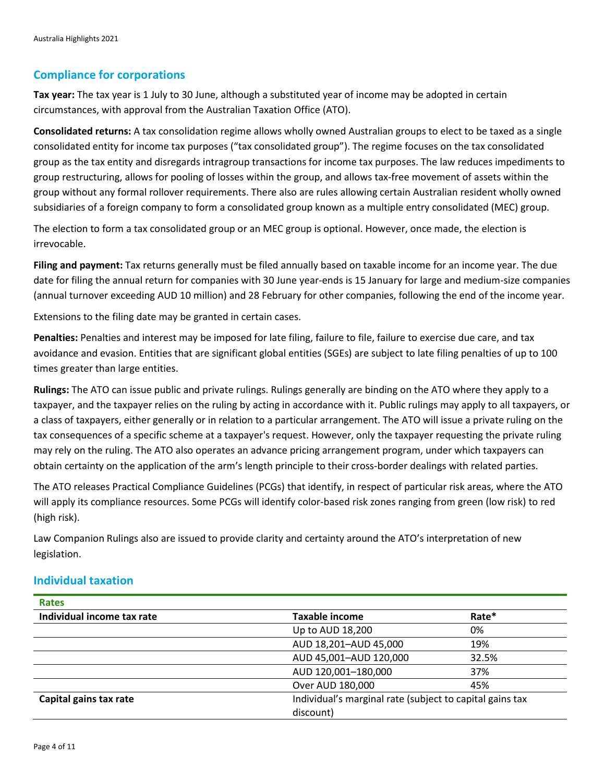### **Compliance for corporations**

**Tax year:** The tax year is 1 July to 30 June, although a substituted year of income may be adopted in certain circumstances, with approval from the Australian Taxation Office (ATO).

**Consolidated returns:** A tax consolidation regime allows wholly owned Australian groups to elect to be taxed as a single consolidated entity for income tax purposes ("tax consolidated group"). The regime focuses on the tax consolidated group as the tax entity and disregards intragroup transactions for income tax purposes. The law reduces impediments to group restructuring, allows for pooling of losses within the group, and allows tax-free movement of assets within the group without any formal rollover requirements. There also are rules allowing certain Australian resident wholly owned subsidiaries of a foreign company to form a consolidated group known as a multiple entry consolidated (MEC) group.

The election to form a tax consolidated group or an MEC group is optional. However, once made, the election is irrevocable.

**Filing and payment:** Tax returns generally must be filed annually based on taxable income for an income year. The due date for filing the annual return for companies with 30 June year-ends is 15 January for large and medium-size companies (annual turnover exceeding AUD 10 million) and 28 February for other companies, following the end of the income year.

Extensions to the filing date may be granted in certain cases.

**Penalties:** Penalties and interest may be imposed for late filing, failure to file, failure to exercise due care, and tax avoidance and evasion. Entities that are significant global entities (SGEs) are subject to late filing penalties of up to 100 times greater than large entities.

**Rulings:** The ATO can issue public and private rulings. Rulings generally are binding on the ATO where they apply to a taxpayer, and the taxpayer relies on the ruling by acting in accordance with it. Public rulings may apply to all taxpayers, or a class of taxpayers, either generally or in relation to a particular arrangement. The ATO will issue a private ruling on the tax consequences of a specific scheme at a taxpayer's request. However, only the taxpayer requesting the private ruling may rely on the ruling. The ATO also operates an advance pricing arrangement program, under which taxpayers can obtain certainty on the application of the arm's length principle to their cross-border dealings with related parties.

The ATO releases Practical Compliance Guidelines (PCGs) that identify, in respect of particular risk areas, where the ATO will apply its compliance resources. Some PCGs will identify color-based risk zones ranging from green (low risk) to red (high risk).

Law Companion Rulings also are issued to provide clarity and certainty around the ATO's interpretation of new legislation.

#### **Individual taxation**

| <b>Rates</b>               |                                                          |       |  |
|----------------------------|----------------------------------------------------------|-------|--|
| Individual income tax rate | <b>Taxable income</b>                                    | Rate* |  |
|                            | Up to AUD 18,200                                         | 0%    |  |
|                            | AUD 18,201-AUD 45,000                                    | 19%   |  |
|                            | AUD 45,001-AUD 120,000                                   | 32.5% |  |
|                            | AUD 120,001-180,000                                      | 37%   |  |
|                            | Over AUD 180,000                                         | 45%   |  |
| Capital gains tax rate     | Individual's marginal rate (subject to capital gains tax |       |  |
|                            | discount)                                                |       |  |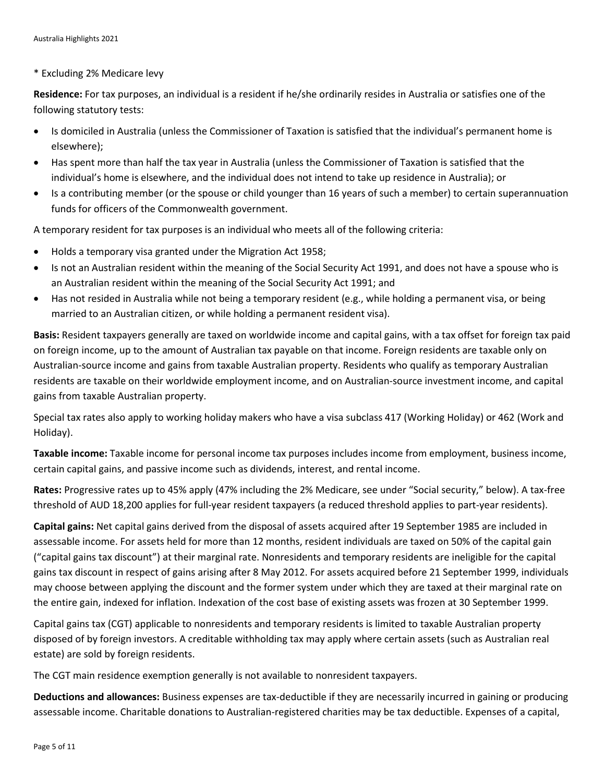\* Excluding 2% Medicare levy

**Residence:** For tax purposes, an individual is a resident if he/she ordinarily resides in Australia or satisfies one of the following statutory tests:

- Is domiciled in Australia (unless the Commissioner of Taxation is satisfied that the individual's permanent home is elsewhere);
- Has spent more than half the tax year in Australia (unless the Commissioner of Taxation is satisfied that the individual's home is elsewhere, and the individual does not intend to take up residence in Australia); or
- Is a contributing member (or the spouse or child younger than 16 years of such a member) to certain superannuation funds for officers of the Commonwealth government.

A temporary resident for tax purposes is an individual who meets all of the following criteria:

- Holds a temporary visa granted under the Migration Act 1958;
- Is not an Australian resident within the meaning of the Social Security Act 1991, and does not have a spouse who is an Australian resident within the meaning of the Social Security Act 1991; and
- Has not resided in Australia while not being a temporary resident (e.g., while holding a permanent visa, or being married to an Australian citizen, or while holding a permanent resident visa).

**Basis:** Resident taxpayers generally are taxed on worldwide income and capital gains, with a tax offset for foreign tax paid on foreign income, up to the amount of Australian tax payable on that income. Foreign residents are taxable only on Australian-source income and gains from taxable Australian property. Residents who qualify as temporary Australian residents are taxable on their worldwide employment income, and on Australian-source investment income, and capital gains from taxable Australian property.

Special tax rates also apply to working holiday makers who have a visa subclass 417 (Working Holiday) or 462 (Work and Holiday).

**Taxable income:** Taxable income for personal income tax purposes includes income from employment, business income, certain capital gains, and passive income such as dividends, interest, and rental income.

**Rates:** Progressive rates up to 45% apply (47% including the 2% Medicare, see under "Social security," below). A tax-free threshold of AUD 18,200 applies for full-year resident taxpayers (a reduced threshold applies to part-year residents).

**Capital gains:** Net capital gains derived from the disposal of assets acquired after 19 September 1985 are included in assessable income. For assets held for more than 12 months, resident individuals are taxed on 50% of the capital gain ("capital gains tax discount") at their marginal rate. Nonresidents and temporary residents are ineligible for the capital gains tax discount in respect of gains arising after 8 May 2012. For assets acquired before 21 September 1999, individuals may choose between applying the discount and the former system under which they are taxed at their marginal rate on the entire gain, indexed for inflation. Indexation of the cost base of existing assets was frozen at 30 September 1999.

Capital gains tax (CGT) applicable to nonresidents and temporary residents is limited to taxable Australian property disposed of by foreign investors. A creditable withholding tax may apply where certain assets (such as Australian real estate) are sold by foreign residents.

The CGT main residence exemption generally is not available to nonresident taxpayers.

**Deductions and allowances:** Business expenses are tax-deductible if they are necessarily incurred in gaining or producing assessable income. Charitable donations to Australian-registered charities may be tax deductible. Expenses of a capital,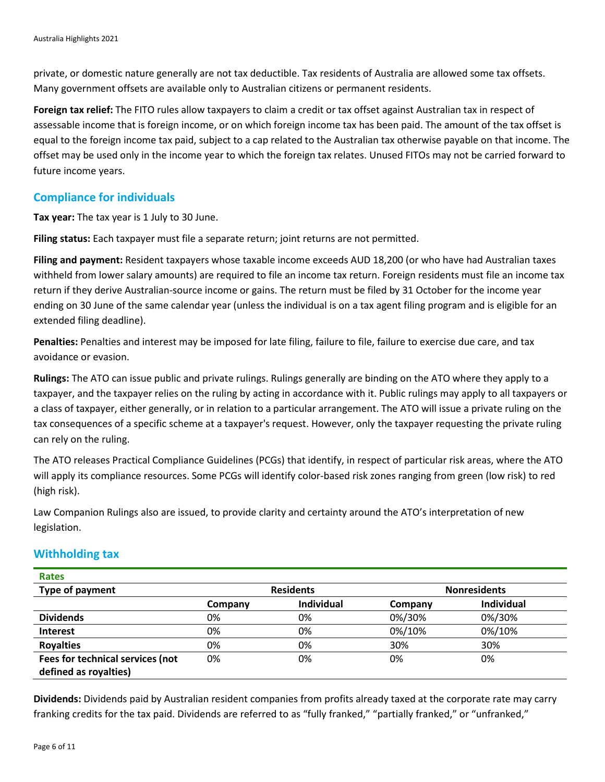private, or domestic nature generally are not tax deductible. Tax residents of Australia are allowed some tax offsets. Many government offsets are available only to Australian citizens or permanent residents.

**Foreign tax relief:** The FITO rules allow taxpayers to claim a credit or tax offset against Australian tax in respect of assessable income that is foreign income, or on which foreign income tax has been paid. The amount of the tax offset is equal to the foreign income tax paid, subject to a cap related to the Australian tax otherwise payable on that income. The offset may be used only in the income year to which the foreign tax relates. Unused FITOs may not be carried forward to future income years.

#### **Compliance for individuals**

**Tax year:** The tax year is 1 July to 30 June.

**Filing status:** Each taxpayer must file a separate return; joint returns are not permitted.

**Filing and payment:** Resident taxpayers whose taxable income exceeds AUD 18,200 (or who have had Australian taxes withheld from lower salary amounts) are required to file an income tax return. Foreign residents must file an income tax return if they derive Australian-source income or gains. The return must be filed by 31 October for the income year ending on 30 June of the same calendar year (unless the individual is on a tax agent filing program and is eligible for an extended filing deadline).

**Penalties:** Penalties and interest may be imposed for late filing, failure to file, failure to exercise due care, and tax avoidance or evasion.

**Rulings:** The ATO can issue public and private rulings. Rulings generally are binding on the ATO where they apply to a taxpayer, and the taxpayer relies on the ruling by acting in accordance with it. Public rulings may apply to all taxpayers or a class of taxpayer, either generally, or in relation to a particular arrangement. The ATO will issue a private ruling on the tax consequences of a specific scheme at a taxpayer's request. However, only the taxpayer requesting the private ruling can rely on the ruling.

The ATO releases Practical Compliance Guidelines (PCGs) that identify, in respect of particular risk areas, where the ATO will apply its compliance resources. Some PCGs will identify color-based risk zones ranging from green (low risk) to red (high risk).

Law Companion Rulings also are issued, to provide clarity and certainty around the ATO's interpretation of new legislation.

#### **Withholding tax**

**Rates**

| Type of payment                  | <b>Residents</b> |                   | <b>Nonresidents</b> |                   |
|----------------------------------|------------------|-------------------|---------------------|-------------------|
|                                  | Company          | <b>Individual</b> | Company             | <b>Individual</b> |
| <b>Dividends</b>                 | 0%               | 0%                | 0%/30%              | 0%/30%            |
| <b>Interest</b>                  | 0%               | 0%                | 0%/10%              | 0%/10%            |
| <b>Royalties</b>                 | 0%               | 0%                | 30%                 | 30%               |
| Fees for technical services (not | 0%               | 0%                | 0%                  | 0%                |
| defined as royalties)            |                  |                   |                     |                   |

**Dividends:** Dividends paid by Australian resident companies from profits already taxed at the corporate rate may carry franking credits for the tax paid. Dividends are referred to as "fully franked," "partially franked," or "unfranked,"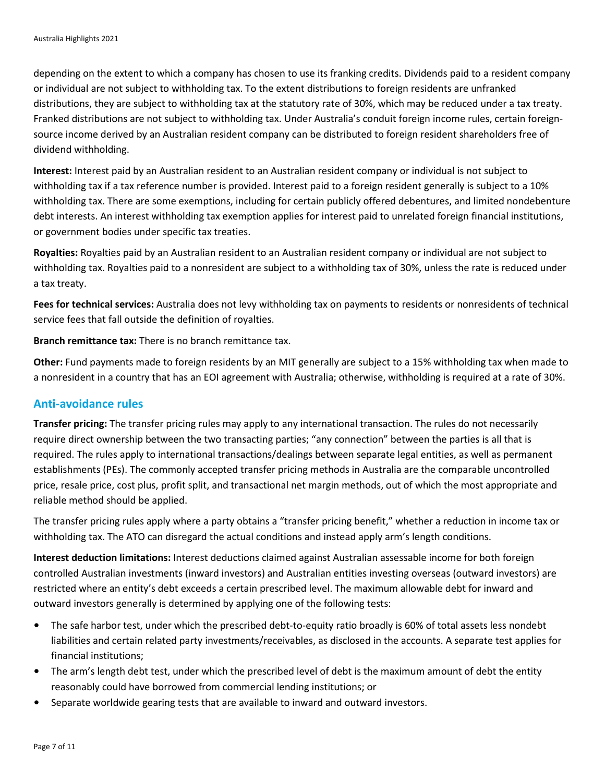depending on the extent to which a company has chosen to use its franking credits. Dividends paid to a resident company or individual are not subject to withholding tax. To the extent distributions to foreign residents are unfranked distributions, they are subject to withholding tax at the statutory rate of 30%, which may be reduced under a tax treaty. Franked distributions are not subject to withholding tax. Under Australia's conduit foreign income rules, certain foreignsource income derived by an Australian resident company can be distributed to foreign resident shareholders free of dividend withholding.

**Interest:** Interest paid by an Australian resident to an Australian resident company or individual is not subject to withholding tax if a tax reference number is provided. Interest paid to a foreign resident generally is subject to a 10% withholding tax. There are some exemptions, including for certain publicly offered debentures, and limited nondebenture debt interests. An interest withholding tax exemption applies for interest paid to unrelated foreign financial institutions, or government bodies under specific tax treaties.

**Royalties:** Royalties paid by an Australian resident to an Australian resident company or individual are not subject to withholding tax. Royalties paid to a nonresident are subject to a withholding tax of 30%, unless the rate is reduced under a tax treaty.

**Fees for technical services:** Australia does not levy withholding tax on payments to residents or nonresidents of technical service fees that fall outside the definition of royalties.

**Branch remittance tax:** There is no branch remittance tax.

**Other:** Fund payments made to foreign residents by an MIT generally are subject to a 15% withholding tax when made to a nonresident in a country that has an EOI agreement with Australia; otherwise, withholding is required at a rate of 30%.

#### **Anti-avoidance rules**

**Transfer pricing:** The transfer pricing rules may apply to any international transaction. The rules do not necessarily require direct ownership between the two transacting parties; "any connection" between the parties is all that is required. The rules apply to international transactions/dealings between separate legal entities, as well as permanent establishments (PEs). The commonly accepted transfer pricing methods in Australia are the comparable uncontrolled price, resale price, cost plus, profit split, and transactional net margin methods, out of which the most appropriate and reliable method should be applied.

The transfer pricing rules apply where a party obtains a "transfer pricing benefit," whether a reduction in income tax or withholding tax. The ATO can disregard the actual conditions and instead apply arm's length conditions.

**Interest deduction limitations:** Interest deductions claimed against Australian assessable income for both foreign controlled Australian investments (inward investors) and Australian entities investing overseas (outward investors) are restricted where an entity's debt exceeds a certain prescribed level. The maximum allowable debt for inward and outward investors generally is determined by applying one of the following tests:

- The safe harbor test, under which the prescribed debt-to-equity ratio broadly is 60% of total assets less nondebt liabilities and certain related party investments/receivables, as disclosed in the accounts. A separate test applies for financial institutions;
- The arm's length debt test, under which the prescribed level of debt is the maximum amount of debt the entity reasonably could have borrowed from commercial lending institutions; or
- Separate worldwide gearing tests that are available to inward and outward investors.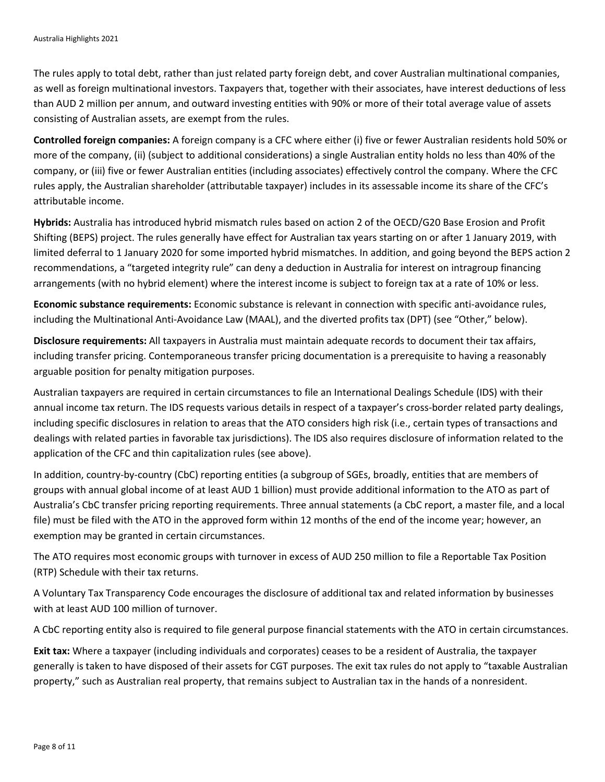The rules apply to total debt, rather than just related party foreign debt, and cover Australian multinational companies, as well as foreign multinational investors. Taxpayers that, together with their associates, have interest deductions of less than AUD 2 million per annum, and outward investing entities with 90% or more of their total average value of assets consisting of Australian assets, are exempt from the rules.

**Controlled foreign companies:** A foreign company is a CFC where either (i) five or fewer Australian residents hold 50% or more of the company, (ii) (subject to additional considerations) a single Australian entity holds no less than 40% of the company, or (iii) five or fewer Australian entities (including associates) effectively control the company. Where the CFC rules apply, the Australian shareholder (attributable taxpayer) includes in its assessable income its share of the CFC's attributable income.

**Hybrids:** Australia has introduced hybrid mismatch rules based on action 2 of the OECD/G20 Base Erosion and Profit Shifting (BEPS) project. The rules generally have effect for Australian tax years starting on or after 1 January 2019, with limited deferral to 1 January 2020 for some imported hybrid mismatches. In addition, and going beyond the BEPS action 2 recommendations, a "targeted integrity rule" can deny a deduction in Australia for interest on intragroup financing arrangements (with no hybrid element) where the interest income is subject to foreign tax at a rate of 10% or less.

**Economic substance requirements:** Economic substance is relevant in connection with specific anti-avoidance rules, including the Multinational Anti-Avoidance Law (MAAL), and the diverted profits tax (DPT) (see "Other," below).

**Disclosure requirements:** All taxpayers in Australia must maintain adequate records to document their tax affairs, including transfer pricing. Contemporaneous transfer pricing documentation is a prerequisite to having a reasonably arguable position for penalty mitigation purposes.

Australian taxpayers are required in certain circumstances to file an International Dealings Schedule (IDS) with their annual income tax return. The IDS requests various details in respect of a taxpayer's cross-border related party dealings, including specific disclosures in relation to areas that the ATO considers high risk (i.e., certain types of transactions and dealings with related parties in favorable tax jurisdictions). The IDS also requires disclosure of information related to the application of the CFC and thin capitalization rules (see above).

In addition, country-by-country (CbC) reporting entities (a subgroup of SGEs, broadly, entities that are members of groups with annual global income of at least AUD 1 billion) must provide additional information to the ATO as part of Australia's CbC transfer pricing reporting requirements. Three annual statements (a CbC report, a master file, and a local file) must be filed with the ATO in the approved form within 12 months of the end of the income year; however, an exemption may be granted in certain circumstances.

The ATO requires most economic groups with turnover in excess of AUD 250 million to file a Reportable Tax Position (RTP) Schedule with their tax returns.

A Voluntary Tax Transparency Code encourages the disclosure of additional tax and related information by businesses with at least AUD 100 million of turnover.

A CbC reporting entity also is required to file general purpose financial statements with the ATO in certain circumstances.

**Exit tax:** Where a taxpayer (including individuals and corporates) ceases to be a resident of Australia, the taxpayer generally is taken to have disposed of their assets for CGT purposes. The exit tax rules do not apply to "taxable Australian property," such as Australian real property, that remains subject to Australian tax in the hands of a nonresident.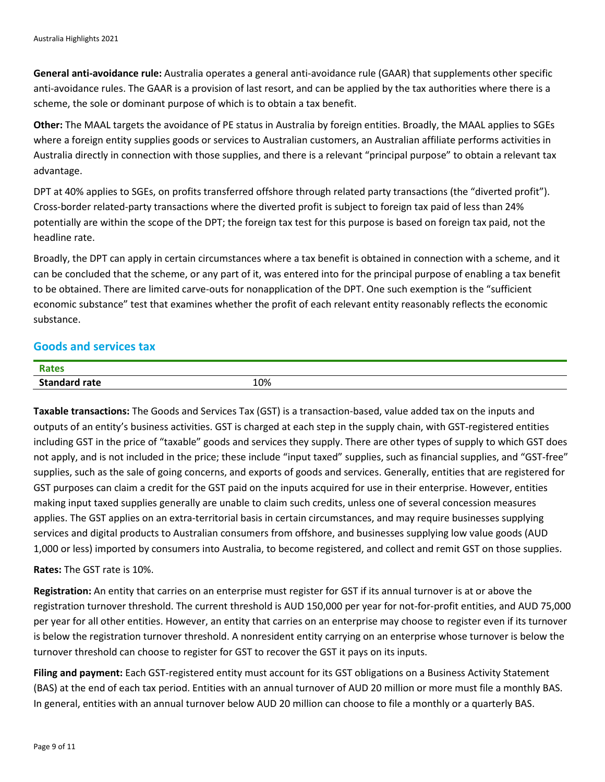**General anti-avoidance rule:** Australia operates a general anti-avoidance rule (GAAR) that supplements other specific anti-avoidance rules. The GAAR is a provision of last resort, and can be applied by the tax authorities where there is a scheme, the sole or dominant purpose of which is to obtain a tax benefit.

**Other:** The MAAL targets the avoidance of PE status in Australia by foreign entities. Broadly, the MAAL applies to SGEs where a foreign entity supplies goods or services to Australian customers, an Australian affiliate performs activities in Australia directly in connection with those supplies, and there is a relevant "principal purpose" to obtain a relevant tax advantage.

DPT at 40% applies to SGEs, on profits transferred offshore through related party transactions (the "diverted profit"). Cross-border related-party transactions where the diverted profit is subject to foreign tax paid of less than 24% potentially are within the scope of the DPT; the foreign tax test for this purpose is based on foreign tax paid, not the headline rate.

Broadly, the DPT can apply in certain circumstances where a tax benefit is obtained in connection with a scheme, and it can be concluded that the scheme, or any part of it, was entered into for the principal purpose of enabling a tax benefit to be obtained. There are limited carve-outs for nonapplication of the DPT. One such exemption is the "sufficient economic substance" test that examines whether the profit of each relevant entity reasonably reflects the economic substance.

#### **Goods and services tax**

| <b>Rates</b><br>.     |     |
|-----------------------|-----|
| Stand.<br><b>rate</b> | 10% |

**Taxable transactions:** The Goods and Services Tax (GST) is a transaction-based, value added tax on the inputs and outputs of an entity's business activities. GST is charged at each step in the supply chain, with GST-registered entities including GST in the price of "taxable" goods and services they supply. There are other types of supply to which GST does not apply, and is not included in the price; these include "input taxed" supplies, such as financial supplies, and "GST-free" supplies, such as the sale of going concerns, and exports of goods and services. Generally, entities that are registered for GST purposes can claim a credit for the GST paid on the inputs acquired for use in their enterprise. However, entities making input taxed supplies generally are unable to claim such credits, unless one of several concession measures applies. The GST applies on an extra-territorial basis in certain circumstances, and may require businesses supplying services and digital products to Australian consumers from offshore, and businesses supplying low value goods (AUD 1,000 or less) imported by consumers into Australia, to become registered, and collect and remit GST on those supplies.

#### **Rates:** The GST rate is 10%.

**Registration:** An entity that carries on an enterprise must register for GST if its annual turnover is at or above the registration turnover threshold. The current threshold is AUD 150,000 per year for not-for-profit entities, and AUD 75,000 per year for all other entities. However, an entity that carries on an enterprise may choose to register even if its turnover is below the registration turnover threshold. A nonresident entity carrying on an enterprise whose turnover is below the turnover threshold can choose to register for GST to recover the GST it pays on its inputs.

**Filing and payment:** Each GST-registered entity must account for its GST obligations on a Business Activity Statement (BAS) at the end of each tax period. Entities with an annual turnover of AUD 20 million or more must file a monthly BAS. In general, entities with an annual turnover below AUD 20 million can choose to file a monthly or a quarterly BAS.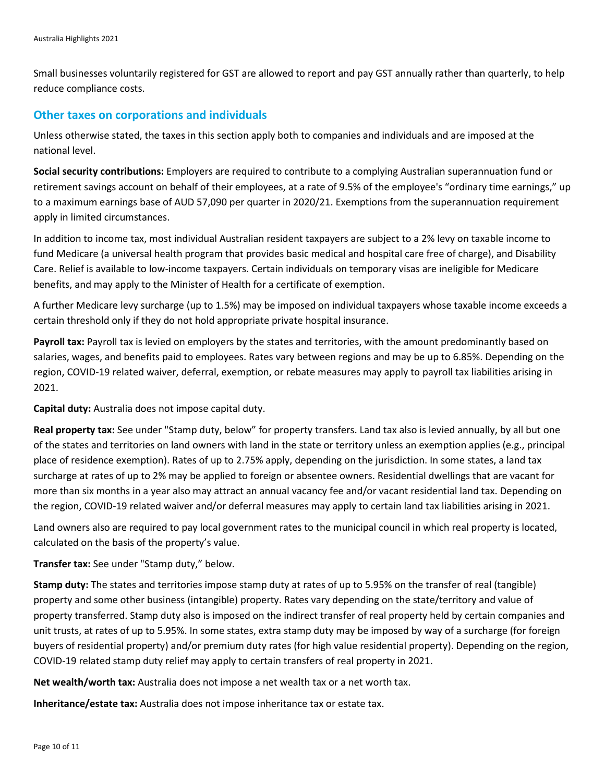Small businesses voluntarily registered for GST are allowed to report and pay GST annually rather than quarterly, to help reduce compliance costs.

#### **Other taxes on corporations and individuals**

Unless otherwise stated, the taxes in this section apply both to companies and individuals and are imposed at the national level.

**Social security contributions:** Employers are required to contribute to a complying Australian superannuation fund or retirement savings account on behalf of their employees, at a rate of 9.5% of the employee's "ordinary time earnings," up to a maximum earnings base of AUD 57,090 per quarter in 2020/21. Exemptions from the superannuation requirement apply in limited circumstances.

In addition to income tax, most individual Australian resident taxpayers are subject to a 2% levy on taxable income to fund Medicare (a universal health program that provides basic medical and hospital care free of charge), and Disability Care. Relief is available to low-income taxpayers. Certain individuals on temporary visas are ineligible for Medicare benefits, and may apply to the Minister of Health for a certificate of exemption.

A further Medicare levy surcharge (up to 1.5%) may be imposed on individual taxpayers whose taxable income exceeds a certain threshold only if they do not hold appropriate private hospital insurance.

**Payroll tax:** Payroll tax is levied on employers by the states and territories, with the amount predominantly based on salaries, wages, and benefits paid to employees. Rates vary between regions and may be up to 6.85%. Depending on the region, COVID-19 related waiver, deferral, exemption, or rebate measures may apply to payroll tax liabilities arising in 2021.

**Capital duty:** Australia does not impose capital duty.

**Real property tax:** See under "Stamp duty, below" for property transfers. Land tax also is levied annually, by all but one of the states and territories on land owners with land in the state or territory unless an exemption applies (e.g., principal place of residence exemption). Rates of up to 2.75% apply, depending on the jurisdiction. In some states, a land tax surcharge at rates of up to 2% may be applied to foreign or absentee owners. Residential dwellings that are vacant for more than six months in a year also may attract an annual vacancy fee and/or vacant residential land tax. Depending on the region, COVID-19 related waiver and/or deferral measures may apply to certain land tax liabilities arising in 2021.

Land owners also are required to pay local government rates to the municipal council in which real property is located, calculated on the basis of the property's value.

**Transfer tax:** See under "Stamp duty," below.

**Stamp duty:** The states and territories impose stamp duty at rates of up to 5.95% on the transfer of real (tangible) property and some other business (intangible) property. Rates vary depending on the state/territory and value of property transferred. Stamp duty also is imposed on the indirect transfer of real property held by certain companies and unit trusts, at rates of up to 5.95%. In some states, extra stamp duty may be imposed by way of a surcharge (for foreign buyers of residential property) and/or premium duty rates (for high value residential property). Depending on the region, COVID-19 related stamp duty relief may apply to certain transfers of real property in 2021.

**Net wealth/worth tax:** Australia does not impose a net wealth tax or a net worth tax.

**Inheritance/estate tax:** Australia does not impose inheritance tax or estate tax.